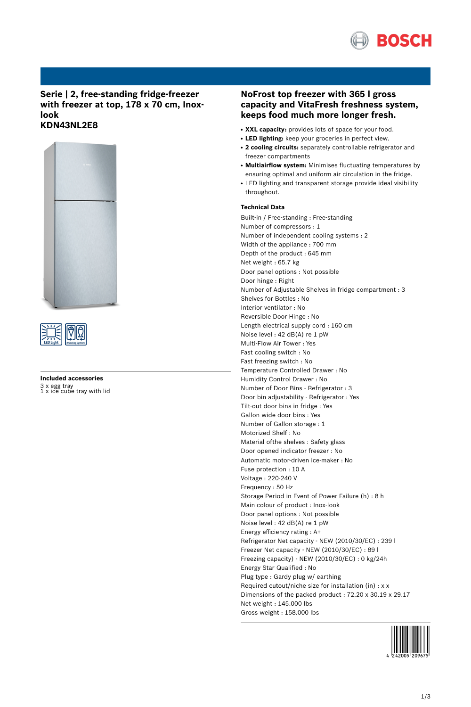

# **Serie | 2, free-standing fridge-freezer with freezer at top, 178 x 70 cm, Inoxlook KDN43NL2E8**





**Included accessories** 3 x egg tray 1 x ice cube tray with lid

# **NoFrost top freezer with 365 l gross capacity and VitaFresh freshness system, keeps food much more longer fresh.**

- **XXL capacity:** provides lots of space for your food.
- **LED lighting:** keep your groceries in perfect view.
- **2 cooling circuits:** separately controllable refrigerator and freezer compartments
- **Multiairflow system:** Minimises fluctuating temperatures by ensuring optimal and uniform air circulation in the fridge.
- LED lighting and transparent storage provide ideal visibility throughout.

# **Technical Data**

Built-in / Free-standing : Free-standing Number of compressors : 1 Number of independent cooling systems : 2 Width of the appliance : 700 mm Depth of the product : 645 mm Net weight : 65.7 kg Door panel options : Not possible Door hinge : Right Number of Adjustable Shelves in fridge compartment : 3 Shelves for Bottles : No Interior ventilator : No Reversible Door Hinge : No Length electrical supply cord : 160 cm Noise level : 42 dB(A) re 1 pW Multi-Flow Air Tower : Yes Fast cooling switch : No Fast freezing switch : No Temperature Controlled Drawer : No Humidity Control Drawer : No Number of Door Bins - Refrigerator : 3 Door bin adjustability - Refrigerator : Yes Tilt-out door bins in fridge : Yes Gallon wide door bins : Yes Number of Gallon storage : 1 Motorized Shelf : No Material ofthe shelves : Safety glass Door opened indicator freezer : No Automatic motor-driven ice-maker : No Fuse protection : 10 A Voltage : 220-240 V Frequency : 50 Hz Storage Period in Event of Power Failure (h) : 8 h Main colour of product : Inox-look Door panel options : Not possible Noise level : 42 dB(A) re 1 pW Energy efficiency rating : A+ Refrigerator Net capacity - NEW (2010/30/EC) : 239 l Freezer Net capacity - NEW (2010/30/EC) : 89 l Freezing capacity) - NEW (2010/30/EC) : 0 kg/24h Energy Star Qualified : No Plug type : Gardy plug w/ earthing Required cutout/niche size for installation (in) : x x Dimensions of the packed product : 72.20 x 30.19 x 29.17 Net weight : 145.000 lbs Gross weight : 158.000 lbs

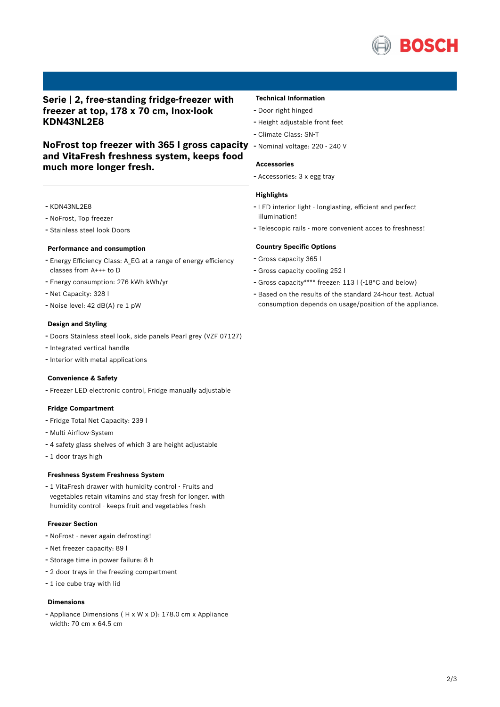

**Serie | 2, free-standing fridge-freezer with freezer at top, 178 x 70 cm, Inox-look KDN43NL2E8**

**NoFrost top freezer with 365 l gross capacity** - Nominal voltage: <sup>220</sup> - <sup>240</sup> <sup>V</sup> **and VitaFresh freshness system, keeps food much more longer fresh.**

# - KDN43NL2E8

- NoFrost, Top freezer

- Stainless steel look Doors

## **Performance and consumption**

- Energy Efficiency Class: A\_EG at <sup>a</sup> range of energy efficiency classes from A+++ to D
- Energy consumption: <sup>276</sup> kWh kWh/yr
- Net Capacity: <sup>328</sup> <sup>l</sup>
- Noise level: <sup>42</sup> dB(A) re <sup>1</sup> pW

## **Design and Styling**

- Doors Stainless steel look, side panels Pearl grey (VZF 07127)
- Integrated vertical handle
- Interior with metal applications

## **Convenience & Safety**

- Freezer LED electronic control, Fridge manually adjustable

# **Fridge Compartment**

- Fridge Total Net Capacity: <sup>239</sup> <sup>l</sup>
- Multi Airflow-System
- <sup>4</sup> safety glass shelves of which <sup>3</sup> are height adjustable
- <sup>1</sup> door trays high

#### **Freshness System Freshness System**

- <sup>1</sup> VitaFresh drawer with humidity control - Fruits and vegetables retain vitamins and stay fresh for longer. with humidity control - keeps fruit and vegetables fresh

# **Freezer Section**

- NoFrost never again defrosting!
- Net freezer capacity: <sup>89</sup> <sup>l</sup>
- Storage time in power failure: <sup>8</sup> <sup>h</sup>
- <sup>2</sup> door trays in the freezing compartment
- <sup>1</sup> ice cube tray with lid

## **Dimensions**

- Appliance Dimensions ( H x W x D): 178.0 cm x Appliance width: 70 cm x 64.5 cm

## **Technical Information**

- Door right hinged
- Height adjustable front feet
- Climate Class: SN-T
- 

#### **Accessories**

- Accessories: <sup>3</sup> <sup>x</sup> egg tray

#### **Highlights**

- LED interior light longlasting, efficient and perfect illumination!
- Telescopic rails more convenient acces to freshness!

## **Country Specific Options**

- Gross capacity <sup>365</sup> <sup>l</sup>
- Gross capacity cooling <sup>252</sup> <sup>l</sup>
- Gross capacity\*\*\*\* freezer: <sup>113</sup> <sup>l</sup> (-18°C and below)
- Based on the results of the standard 24-hour test. Actual consumption depends on usage/position of the appliance.